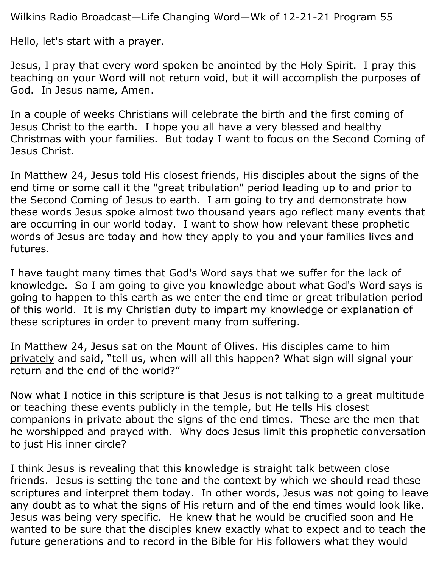Wilkins Radio Broadcast—Life Changing Word—Wk of 12-21-21 Program 55

Hello, let's start with a prayer.

Jesus, I pray that every word spoken be anointed by the Holy Spirit. I pray this teaching on your Word will not return void, but it will accomplish the purposes of God. In Jesus name, Amen.

In a couple of weeks Christians will celebrate the birth and the first coming of Jesus Christ to the earth. I hope you all have a very blessed and healthy Christmas with your families. But today I want to focus on the Second Coming of Jesus Christ.

In Matthew 24, Jesus told His closest friends, His disciples about the signs of the end time or some call it the "great tribulation" period leading up to and prior to the Second Coming of Jesus to earth. I am going to try and demonstrate how these words Jesus spoke almost two thousand years ago reflect many events that are occurring in our world today. I want to show how relevant these prophetic words of Jesus are today and how they apply to you and your families lives and futures.

I have taught many times that God's Word says that we suffer for the lack of knowledge. So I am going to give you knowledge about what God's Word says is going to happen to this earth as we enter the end time or great tribulation period of this world. It is my Christian duty to impart my knowledge or explanation of these scriptures in order to prevent many from suffering.

In Matthew 24, Jesus sat on the Mount of Olives. His disciples came to him privately and said, "tell us, when will all this happen? What sign will signal your return and the end of the world?"

Now what I notice in this scripture is that Jesus is not talking to a great multitude or teaching these events publicly in the temple, but He tells His closest companions in private about the signs of the end times. These are the men that he worshipped and prayed with. Why does Jesus limit this prophetic conversation to just His inner circle?

I think Jesus is revealing that this knowledge is straight talk between close friends. Jesus is setting the tone and the context by which we should read these scriptures and interpret them today. In other words, Jesus was not going to leave any doubt as to what the signs of His return and of the end times would look like. Jesus was being very specific. He knew that he would be crucified soon and He wanted to be sure that the disciples knew exactly what to expect and to teach the future generations and to record in the Bible for His followers what they would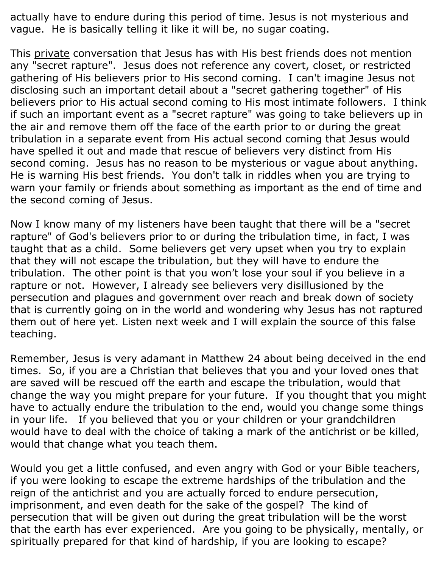actually have to endure during this period of time. Jesus is not mysterious and vague. He is basically telling it like it will be, no sugar coating.

This private conversation that Jesus has with His best friends does not mention any "secret rapture". Jesus does not reference any covert, closet, or restricted gathering of His believers prior to His second coming. I can't imagine Jesus not disclosing such an important detail about a "secret gathering together" of His believers prior to His actual second coming to His most intimate followers. I think if such an important event as a "secret rapture" was going to take believers up in the air and remove them off the face of the earth prior to or during the great tribulation in a separate event from His actual second coming that Jesus would have spelled it out and made that rescue of believers very distinct from His second coming. Jesus has no reason to be mysterious or vague about anything. He is warning His best friends. You don't talk in riddles when you are trying to warn your family or friends about something as important as the end of time and the second coming of Jesus.

Now I know many of my listeners have been taught that there will be a "secret rapture" of God's believers prior to or during the tribulation time, in fact, I was taught that as a child. Some believers get very upset when you try to explain that they will not escape the tribulation, but they will have to endure the tribulation. The other point is that you won't lose your soul if you believe in a rapture or not. However, I already see believers very disillusioned by the persecution and plagues and government over reach and break down of society that is currently going on in the world and wondering why Jesus has not raptured them out of here yet. Listen next week and I will explain the source of this false teaching.

Remember, Jesus is very adamant in Matthew 24 about being deceived in the end times. So, if you are a Christian that believes that you and your loved ones that are saved will be rescued off the earth and escape the tribulation, would that change the way you might prepare for your future. If you thought that you might have to actually endure the tribulation to the end, would you change some things in your life. If you believed that you or your children or your grandchildren would have to deal with the choice of taking a mark of the antichrist or be killed, would that change what you teach them.

Would you get a little confused, and even angry with God or your Bible teachers, if you were looking to escape the extreme hardships of the tribulation and the reign of the antichrist and you are actually forced to endure persecution, imprisonment, and even death for the sake of the gospel? The kind of persecution that will be given out during the great tribulation will be the worst that the earth has ever experienced. Are you going to be physically, mentally, or spiritually prepared for that kind of hardship, if you are looking to escape?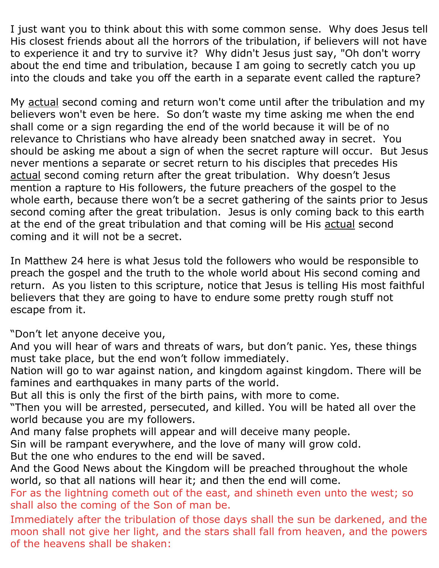I just want you to think about this with some common sense. Why does Jesus tell His closest friends about all the horrors of the tribulation, if believers will not have to experience it and try to survive it? Why didn't Jesus just say, "Oh don't worry about the end time and tribulation, because I am going to secretly catch you up into the clouds and take you off the earth in a separate event called the rapture?

My actual second coming and return won't come until after the tribulation and my believers won't even be here. So don't waste my time asking me when the end shall come or a sign regarding the end of the world because it will be of no relevance to Christians who have already been snatched away in secret. You should be asking me about a sign of when the secret rapture will occur. But Jesus never mentions a separate or secret return to his disciples that precedes His actual second coming return after the great tribulation. Why doesn't Jesus mention a rapture to His followers, the future preachers of the gospel to the whole earth, because there won't be a secret gathering of the saints prior to Jesus second coming after the great tribulation. Jesus is only coming back to this earth at the end of the great tribulation and that coming will be His actual second coming and it will not be a secret.

In Matthew 24 here is what Jesus told the followers who would be responsible to preach the gospel and the truth to the whole world about His second coming and return. As you listen to this scripture, notice that Jesus is telling His most faithful believers that they are going to have to endure some pretty rough stuff not escape from it.

"Don't let anyone deceive you,

And you will hear of wars and threats of wars, but don't panic. Yes, these things must take place, but the end won't follow immediately.

Nation will go to war against nation, and kingdom against kingdom. There will be famines and earthquakes in many parts of the world.

But all this is only the first of the birth pains, with more to come.

"Then you will be arrested, persecuted, and killed. You will be hated all over the world because you are my followers.

And many false prophets will appear and will deceive many people.

Sin will be rampant everywhere, and the love of many will grow cold.

But the one who endures to the end will be saved.

And the Good News about the Kingdom will be preached throughout the whole world, so that all nations will hear it; and then the end will come.

For as the lightning cometh out of the east, and shineth even unto the west; so shall also the coming of the Son of man be.

Immediately after the tribulation of those days shall the sun be darkened, and the moon shall not give her light, and the stars shall fall from heaven, and the powers of the heavens shall be shaken: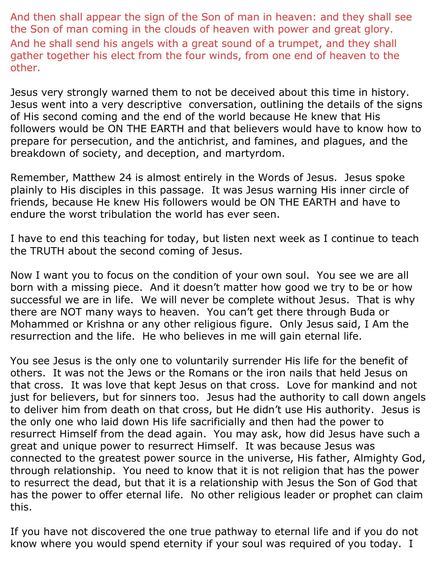And then shall appear the sign of the Son of man in heaven: and they shall see the Son of man coming in the clouds of heaven with power and great glory. And he shall send his angels with a great sound of a trumpet, and they shall gather together his elect from the four winds, from one end of heaven to the other.

Jesus very strongly warned them to not be deceived about this time in history. Jesus went into a very descriptive conversation, outlining the details of the signs of His second coming and the end of the world because He knew that His followers would be ON THE EARTH and that believers would have to know how to prepare for persecution, and the antichrist, and famines, and plagues, and the breakdown of society, and deception, and martyrdom.

Remember, Matthew 24 is almost entirely in the Words of Jesus. Jesus spoke plainly to His disciples in this passage. It was Jesus warning His inner circle of friends, because He knew His followers would be ON THE EARTH and have to endure the worst tribulation the world has ever seen.

I have to end this teaching for today, but listen next week as I continue to teach the TRUTH about the second coming of Jesus.

Now I want you to focus on the condition of your own soul. You see we are all born with a missing piece. And it doesn't matter how good we try to be or how successful we are in life. We will never be complete without Jesus. That is why there are NOT many ways to heaven. You can't get there through Buda or Mohammed or Krishna or any other religious figure. Only Jesus said, I Am the resurrection and the life. He who believes in me will gain eternal life.

You see Jesus is the only one to voluntarily surrender His life for the benefit of others. It was not the Jews or the Romans or the iron nails that held Jesus on that cross. It was love that kept Jesus on that cross. Love for mankind and not just for believers, but for sinners too. Jesus had the authority to call down angels to deliver him from death on that cross, but He didn't use His authority. Jesus is the only one who laid down His life sacrificially and then had the power to resurrect Himself from the dead again. You may ask, how did Jesus have such a great and unique power to resurrect Himself. It was because Jesus was connected to the greatest power source in the universe, His father, Almighty God, through relationship. You need to know that it is not religion that has the power to resurrect the dead, but that it is a relationship with Jesus the Son of God that has the power to offer eternal life. No other religious leader or prophet can claim this.

If you have not discovered the one true pathway to eternal life and if you do not know where you would spend eternity if your soul was required of you today. I